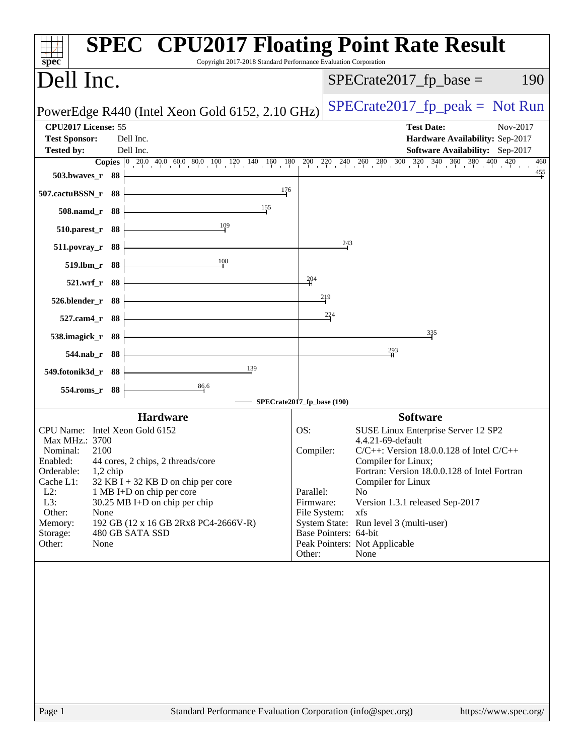| Dell Inc.<br>$SPECrate2017_fp\_base =$<br>PowerEdge R440 (Intel Xeon Gold 6152, 2.10 GHz)<br>CPU2017 License: 55<br><b>Test Date:</b><br>Nov-2017<br><b>Test Sponsor:</b><br>Hardware Availability: Sep-2017<br>Dell Inc.<br>Dell Inc.<br><b>Software Availability:</b> Sep-2017<br><b>Tested by:</b><br><b>Copies</b> $\begin{bmatrix} 0 & 20.0 & 40.0 & 60.0 & 80.0 & 100 & 120 & 140 & 160 & 180 & 200 & 240 & 260 & 280 & 300 & 320 & 340 & 360 & 380 & 400 & 420 \end{bmatrix}$<br>503.bwaves_r 88<br>176<br>507.cactuBSSN_r 88<br>155<br>508.namd_r 88<br>109<br>510.parest_r 88<br>243<br>511.povray_r 88<br>108<br>519.lbm_r 88<br>204<br>521.wrf_r 88<br>219<br>526.blender_r 88<br>224<br>527.cam4_r 88<br>335<br>538.imagick_r 88<br>$^{293}$<br>544.nab_r 88<br>139<br>549.fotonik3d_r 88<br>$\frac{86.6}{9}$<br>554.roms_r 88<br>SPECrate2017_fp_base (190)<br><b>Software</b><br><b>Hardware</b><br>CPU Name: Intel Xeon Gold 6152<br>OS:<br>SUSE Linux Enterprise Server 12 SP2<br>4.4.21-69-default<br>Max MHz.: 3700<br>Nominal:<br>2100<br>Compiler:<br>$C/C++$ : Version 18.0.0.128 of Intel $C/C++$<br>44 cores, 2 chips, 2 threads/core<br>Enabled:<br>Compiler for Linux;<br>Orderable:<br>Fortran: Version 18.0.0.128 of Intel Fortran<br>$1,2$ chip<br>Cache L1:<br>$32$ KB I + 32 KB D on chip per core<br>Compiler for Linux<br>$L2$ :<br>Parallel:<br>No<br>1 MB I+D on chip per core<br>L3:<br>30.25 MB I+D on chip per chip<br>Version 1.3.1 released Sep-2017<br>Firmware:<br>Other:<br>File System:<br>None<br>xfs<br>System State: Run level 3 (multi-user)<br>Memory:<br>192 GB (12 x 16 GB 2Rx8 PC4-2666V-R)<br>Base Pointers: 64-bit<br>Storage:<br>480 GB SATA SSD<br>Peak Pointers: Not Applicable<br>Other:<br>None<br>Other:<br>None | $spec^*$ | Copyright 2017-2018 Standard Performance Evaluation Corporation | <b>SPEC<sup>®</sup> CPU2017 Floating Point Rate Result</b> |
|-----------------------------------------------------------------------------------------------------------------------------------------------------------------------------------------------------------------------------------------------------------------------------------------------------------------------------------------------------------------------------------------------------------------------------------------------------------------------------------------------------------------------------------------------------------------------------------------------------------------------------------------------------------------------------------------------------------------------------------------------------------------------------------------------------------------------------------------------------------------------------------------------------------------------------------------------------------------------------------------------------------------------------------------------------------------------------------------------------------------------------------------------------------------------------------------------------------------------------------------------------------------------------------------------------------------------------------------------------------------------------------------------------------------------------------------------------------------------------------------------------------------------------------------------------------------------------------------------------------------------------------------------------------------------------------------------------------------------------------------------------------------------------|----------|-----------------------------------------------------------------|------------------------------------------------------------|
|                                                                                                                                                                                                                                                                                                                                                                                                                                                                                                                                                                                                                                                                                                                                                                                                                                                                                                                                                                                                                                                                                                                                                                                                                                                                                                                                                                                                                                                                                                                                                                                                                                                                                                                                                                             |          |                                                                 | 190                                                        |
|                                                                                                                                                                                                                                                                                                                                                                                                                                                                                                                                                                                                                                                                                                                                                                                                                                                                                                                                                                                                                                                                                                                                                                                                                                                                                                                                                                                                                                                                                                                                                                                                                                                                                                                                                                             |          |                                                                 | $SPECrate2017_fp\_peak = Not Run$                          |
|                                                                                                                                                                                                                                                                                                                                                                                                                                                                                                                                                                                                                                                                                                                                                                                                                                                                                                                                                                                                                                                                                                                                                                                                                                                                                                                                                                                                                                                                                                                                                                                                                                                                                                                                                                             |          |                                                                 |                                                            |
|                                                                                                                                                                                                                                                                                                                                                                                                                                                                                                                                                                                                                                                                                                                                                                                                                                                                                                                                                                                                                                                                                                                                                                                                                                                                                                                                                                                                                                                                                                                                                                                                                                                                                                                                                                             |          |                                                                 | 460<br>$\frac{455}{4}$                                     |
|                                                                                                                                                                                                                                                                                                                                                                                                                                                                                                                                                                                                                                                                                                                                                                                                                                                                                                                                                                                                                                                                                                                                                                                                                                                                                                                                                                                                                                                                                                                                                                                                                                                                                                                                                                             |          |                                                                 |                                                            |
|                                                                                                                                                                                                                                                                                                                                                                                                                                                                                                                                                                                                                                                                                                                                                                                                                                                                                                                                                                                                                                                                                                                                                                                                                                                                                                                                                                                                                                                                                                                                                                                                                                                                                                                                                                             |          |                                                                 |                                                            |
|                                                                                                                                                                                                                                                                                                                                                                                                                                                                                                                                                                                                                                                                                                                                                                                                                                                                                                                                                                                                                                                                                                                                                                                                                                                                                                                                                                                                                                                                                                                                                                                                                                                                                                                                                                             |          |                                                                 |                                                            |
|                                                                                                                                                                                                                                                                                                                                                                                                                                                                                                                                                                                                                                                                                                                                                                                                                                                                                                                                                                                                                                                                                                                                                                                                                                                                                                                                                                                                                                                                                                                                                                                                                                                                                                                                                                             |          |                                                                 |                                                            |
|                                                                                                                                                                                                                                                                                                                                                                                                                                                                                                                                                                                                                                                                                                                                                                                                                                                                                                                                                                                                                                                                                                                                                                                                                                                                                                                                                                                                                                                                                                                                                                                                                                                                                                                                                                             |          |                                                                 |                                                            |
|                                                                                                                                                                                                                                                                                                                                                                                                                                                                                                                                                                                                                                                                                                                                                                                                                                                                                                                                                                                                                                                                                                                                                                                                                                                                                                                                                                                                                                                                                                                                                                                                                                                                                                                                                                             |          |                                                                 |                                                            |
|                                                                                                                                                                                                                                                                                                                                                                                                                                                                                                                                                                                                                                                                                                                                                                                                                                                                                                                                                                                                                                                                                                                                                                                                                                                                                                                                                                                                                                                                                                                                                                                                                                                                                                                                                                             |          |                                                                 |                                                            |
|                                                                                                                                                                                                                                                                                                                                                                                                                                                                                                                                                                                                                                                                                                                                                                                                                                                                                                                                                                                                                                                                                                                                                                                                                                                                                                                                                                                                                                                                                                                                                                                                                                                                                                                                                                             |          |                                                                 |                                                            |
|                                                                                                                                                                                                                                                                                                                                                                                                                                                                                                                                                                                                                                                                                                                                                                                                                                                                                                                                                                                                                                                                                                                                                                                                                                                                                                                                                                                                                                                                                                                                                                                                                                                                                                                                                                             |          |                                                                 |                                                            |
|                                                                                                                                                                                                                                                                                                                                                                                                                                                                                                                                                                                                                                                                                                                                                                                                                                                                                                                                                                                                                                                                                                                                                                                                                                                                                                                                                                                                                                                                                                                                                                                                                                                                                                                                                                             |          |                                                                 |                                                            |
|                                                                                                                                                                                                                                                                                                                                                                                                                                                                                                                                                                                                                                                                                                                                                                                                                                                                                                                                                                                                                                                                                                                                                                                                                                                                                                                                                                                                                                                                                                                                                                                                                                                                                                                                                                             |          |                                                                 |                                                            |
|                                                                                                                                                                                                                                                                                                                                                                                                                                                                                                                                                                                                                                                                                                                                                                                                                                                                                                                                                                                                                                                                                                                                                                                                                                                                                                                                                                                                                                                                                                                                                                                                                                                                                                                                                                             |          |                                                                 |                                                            |
|                                                                                                                                                                                                                                                                                                                                                                                                                                                                                                                                                                                                                                                                                                                                                                                                                                                                                                                                                                                                                                                                                                                                                                                                                                                                                                                                                                                                                                                                                                                                                                                                                                                                                                                                                                             |          |                                                                 |                                                            |
|                                                                                                                                                                                                                                                                                                                                                                                                                                                                                                                                                                                                                                                                                                                                                                                                                                                                                                                                                                                                                                                                                                                                                                                                                                                                                                                                                                                                                                                                                                                                                                                                                                                                                                                                                                             |          |                                                                 |                                                            |
|                                                                                                                                                                                                                                                                                                                                                                                                                                                                                                                                                                                                                                                                                                                                                                                                                                                                                                                                                                                                                                                                                                                                                                                                                                                                                                                                                                                                                                                                                                                                                                                                                                                                                                                                                                             |          |                                                                 |                                                            |
|                                                                                                                                                                                                                                                                                                                                                                                                                                                                                                                                                                                                                                                                                                                                                                                                                                                                                                                                                                                                                                                                                                                                                                                                                                                                                                                                                                                                                                                                                                                                                                                                                                                                                                                                                                             |          |                                                                 |                                                            |
|                                                                                                                                                                                                                                                                                                                                                                                                                                                                                                                                                                                                                                                                                                                                                                                                                                                                                                                                                                                                                                                                                                                                                                                                                                                                                                                                                                                                                                                                                                                                                                                                                                                                                                                                                                             |          |                                                                 |                                                            |
|                                                                                                                                                                                                                                                                                                                                                                                                                                                                                                                                                                                                                                                                                                                                                                                                                                                                                                                                                                                                                                                                                                                                                                                                                                                                                                                                                                                                                                                                                                                                                                                                                                                                                                                                                                             |          |                                                                 |                                                            |
|                                                                                                                                                                                                                                                                                                                                                                                                                                                                                                                                                                                                                                                                                                                                                                                                                                                                                                                                                                                                                                                                                                                                                                                                                                                                                                                                                                                                                                                                                                                                                                                                                                                                                                                                                                             |          |                                                                 |                                                            |
|                                                                                                                                                                                                                                                                                                                                                                                                                                                                                                                                                                                                                                                                                                                                                                                                                                                                                                                                                                                                                                                                                                                                                                                                                                                                                                                                                                                                                                                                                                                                                                                                                                                                                                                                                                             |          |                                                                 |                                                            |
|                                                                                                                                                                                                                                                                                                                                                                                                                                                                                                                                                                                                                                                                                                                                                                                                                                                                                                                                                                                                                                                                                                                                                                                                                                                                                                                                                                                                                                                                                                                                                                                                                                                                                                                                                                             |          |                                                                 |                                                            |
|                                                                                                                                                                                                                                                                                                                                                                                                                                                                                                                                                                                                                                                                                                                                                                                                                                                                                                                                                                                                                                                                                                                                                                                                                                                                                                                                                                                                                                                                                                                                                                                                                                                                                                                                                                             |          |                                                                 |                                                            |
|                                                                                                                                                                                                                                                                                                                                                                                                                                                                                                                                                                                                                                                                                                                                                                                                                                                                                                                                                                                                                                                                                                                                                                                                                                                                                                                                                                                                                                                                                                                                                                                                                                                                                                                                                                             |          |                                                                 |                                                            |
|                                                                                                                                                                                                                                                                                                                                                                                                                                                                                                                                                                                                                                                                                                                                                                                                                                                                                                                                                                                                                                                                                                                                                                                                                                                                                                                                                                                                                                                                                                                                                                                                                                                                                                                                                                             |          |                                                                 |                                                            |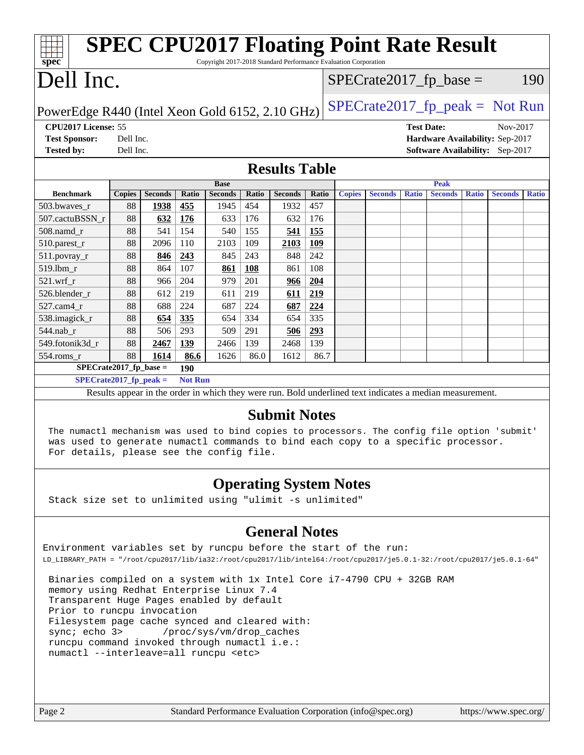| <b>SPEC CPU2017 Floating Point Rate Result</b><br>Copyright 2017-2018 Standard Performance Evaluation Corporation<br>$spec*$ |               |                |       |                |       |                      |       |                           |                |                   |                |              |                                 |              |
|------------------------------------------------------------------------------------------------------------------------------|---------------|----------------|-------|----------------|-------|----------------------|-------|---------------------------|----------------|-------------------|----------------|--------------|---------------------------------|--------------|
| Dell Inc.                                                                                                                    |               |                |       |                |       |                      |       | $SPECrate2017_fp\_base =$ |                |                   |                |              |                                 | 190          |
| $SPECrate2017_fp\_peak = Not Run$<br>PowerEdge R440 (Intel Xeon Gold 6152, 2.10 GHz)                                         |               |                |       |                |       |                      |       |                           |                |                   |                |              |                                 |              |
| CPU2017 License: 55                                                                                                          |               |                |       |                |       |                      |       |                           |                | <b>Test Date:</b> |                |              | Nov-2017                        |              |
| <b>Test Sponsor:</b>                                                                                                         | Dell Inc.     |                |       |                |       |                      |       |                           |                |                   |                |              | Hardware Availability: Sep-2017 |              |
| <b>Tested by:</b>                                                                                                            | Dell Inc.     |                |       |                |       |                      |       |                           |                |                   |                |              | Software Availability: Sep-2017 |              |
|                                                                                                                              |               |                |       |                |       |                      |       |                           |                |                   |                |              |                                 |              |
|                                                                                                                              |               |                |       |                |       | <b>Results Table</b> |       |                           |                |                   |                |              |                                 |              |
|                                                                                                                              |               |                |       | <b>Base</b>    |       |                      |       |                           |                |                   | Peak           |              |                                 |              |
| <b>Benchmark</b>                                                                                                             | <b>Copies</b> | <b>Seconds</b> | Ratio | <b>Seconds</b> | Ratio | <b>Seconds</b>       | Ratio | <b>Copies</b>             | <b>Seconds</b> | <b>Ratio</b>      | <b>Seconds</b> | <b>Ratio</b> | <b>Seconds</b>                  | <b>Ratio</b> |
| 503.bwaves r                                                                                                                 | 88            | 1938           | 455   | 1945           | 454   | 1932                 | 457   |                           |                |                   |                |              |                                 |              |
| 507.cactuBSSN_r                                                                                                              | 88            | 632            | 176   | 633            | 176   | 632                  | 176   |                           |                |                   |                |              |                                 |              |
| 508.namd r                                                                                                                   | 88            | 541            | 154   | 540            | 155   | 541                  | 155   |                           |                |                   |                |              |                                 |              |
| 510.parest_r                                                                                                                 | 88            | 2096           | 110   | 2103           | 109   | 2103                 | 109   |                           |                |                   |                |              |                                 |              |
| 511.povray_r                                                                                                                 | 88            | 846            | 243   | 845            | 243   | 848                  | 242   |                           |                |                   |                |              |                                 |              |
| 519.lbm r                                                                                                                    | 88            | 864            | 107   | 861            | 108   | 861                  | 108   |                           |                |                   |                |              |                                 |              |
| $521.wrf_r$                                                                                                                  | 88            | 966            | 204   | 979            | 201   | 966                  | 204   |                           |                |                   |                |              |                                 |              |
| 526.blender_r                                                                                                                | 88            | 612            | 219   | 611            | 219   | 611                  | 219   |                           |                |                   |                |              |                                 |              |
| 527.cam4 r                                                                                                                   | 88            | 688            | 224   | 687            | 224   | 687                  | 224   |                           |                |                   |                |              |                                 |              |
| 538.imagick_r                                                                                                                | 88            | 654            | 335   | 654            | 334   | 654                  | 335   |                           |                |                   |                |              |                                 |              |
| 544.nab_r                                                                                                                    | 88            | 506            | 293   | 509            | 291   | 506                  | 293   |                           |                |                   |                |              |                                 |              |
| 549.fotonik3d_r                                                                                                              | 88            | 2467           | 139   | 2466           | 139   | 2468                 | 139   |                           |                |                   |                |              |                                 |              |
| 554.roms_r                                                                                                                   | 88            | 1614           | 86.6  | 1626           | 86.0  | 1612                 | 86.7  |                           |                |                   |                |              |                                 |              |
| $SPECrate2017_fp\_base =$                                                                                                    |               |                | 190   |                |       |                      |       |                           |                |                   |                |              |                                 |              |
| $SPECrate2017_fp\_peak =$<br><b>Not Run</b>                                                                                  |               |                |       |                |       |                      |       |                           |                |                   |                |              |                                 |              |
| Results appear in the order in which they were run. Bold underlined text indicates a median measurement.                     |               |                |       |                |       |                      |       |                           |                |                   |                |              |                                 |              |
| <b>Submit Notes</b><br>The numactl mechanism was used to bind copies to processors. The config file option 'submit'          |               |                |       |                |       |                      |       |                           |                |                   |                |              |                                 |              |
| was used to generate numactl commands to bind each copy to a specific processor.                                             |               |                |       |                |       |                      |       |                           |                |                   |                |              |                                 |              |

### **[Operating System Notes](http://www.spec.org/auto/cpu2017/Docs/result-fields.html#OperatingSystemNotes)**

Stack size set to unlimited using "ulimit -s unlimited"

For details, please see the config file.

### **[General Notes](http://www.spec.org/auto/cpu2017/Docs/result-fields.html#GeneralNotes)**

Environment variables set by runcpu before the start of the run: LD\_LIBRARY\_PATH = "/root/cpu2017/lib/ia32:/root/cpu2017/lib/intel64:/root/cpu2017/je5.0.1-32:/root/cpu2017/je5.0.1-64"

 Binaries compiled on a system with 1x Intel Core i7-4790 CPU + 32GB RAM memory using Redhat Enterprise Linux 7.4 Transparent Huge Pages enabled by default Prior to runcpu invocation Filesystem page cache synced and cleared with: sync; echo 3> /proc/sys/vm/drop\_caches runcpu command invoked through numactl i.e.: numactl --interleave=all runcpu <etc>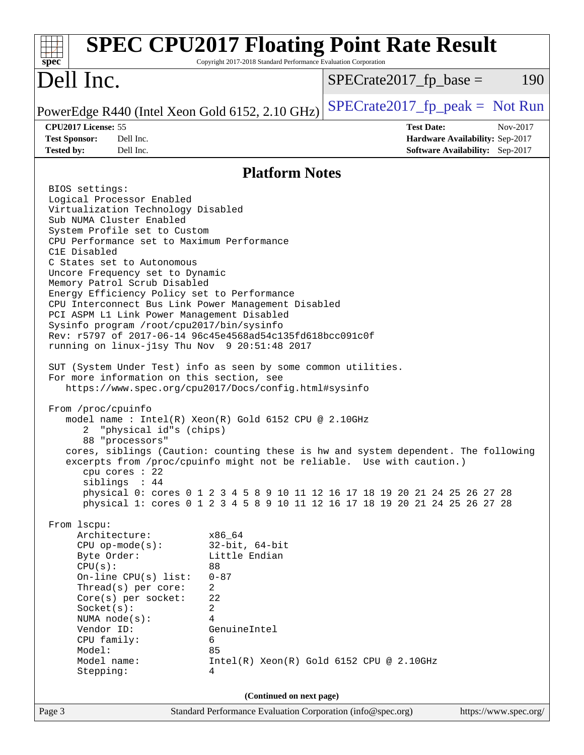| <b>SPEC CPU2017 Floating Point Rate Result</b><br>$spec^*$                                                                                                                                                                                                                                                                                                                                                                                                                                                                                                                                                                                                                                                                                                                                                                                                                                                                                                                                                                                                                                                                                                                                                                                                                                                                                                                                                                                                                                                                                                                                                                          | Copyright 2017-2018 Standard Performance Evaluation Corporation                                     |                                   |                                 |                       |
|-------------------------------------------------------------------------------------------------------------------------------------------------------------------------------------------------------------------------------------------------------------------------------------------------------------------------------------------------------------------------------------------------------------------------------------------------------------------------------------------------------------------------------------------------------------------------------------------------------------------------------------------------------------------------------------------------------------------------------------------------------------------------------------------------------------------------------------------------------------------------------------------------------------------------------------------------------------------------------------------------------------------------------------------------------------------------------------------------------------------------------------------------------------------------------------------------------------------------------------------------------------------------------------------------------------------------------------------------------------------------------------------------------------------------------------------------------------------------------------------------------------------------------------------------------------------------------------------------------------------------------------|-----------------------------------------------------------------------------------------------------|-----------------------------------|---------------------------------|-----------------------|
| Dell Inc.                                                                                                                                                                                                                                                                                                                                                                                                                                                                                                                                                                                                                                                                                                                                                                                                                                                                                                                                                                                                                                                                                                                                                                                                                                                                                                                                                                                                                                                                                                                                                                                                                           |                                                                                                     | $SPECrate2017fp base =$           |                                 | 190                   |
| PowerEdge R440 (Intel Xeon Gold 6152, 2.10 GHz)                                                                                                                                                                                                                                                                                                                                                                                                                                                                                                                                                                                                                                                                                                                                                                                                                                                                                                                                                                                                                                                                                                                                                                                                                                                                                                                                                                                                                                                                                                                                                                                     |                                                                                                     | $SPECrate2017_fp\_peak = Not Run$ |                                 |                       |
| CPU2017 License: 55                                                                                                                                                                                                                                                                                                                                                                                                                                                                                                                                                                                                                                                                                                                                                                                                                                                                                                                                                                                                                                                                                                                                                                                                                                                                                                                                                                                                                                                                                                                                                                                                                 |                                                                                                     |                                   | <b>Test Date:</b>               | Nov-2017              |
| <b>Test Sponsor:</b><br>Dell Inc.                                                                                                                                                                                                                                                                                                                                                                                                                                                                                                                                                                                                                                                                                                                                                                                                                                                                                                                                                                                                                                                                                                                                                                                                                                                                                                                                                                                                                                                                                                                                                                                                   |                                                                                                     |                                   | Hardware Availability: Sep-2017 |                       |
| Dell Inc.<br><b>Tested by:</b>                                                                                                                                                                                                                                                                                                                                                                                                                                                                                                                                                                                                                                                                                                                                                                                                                                                                                                                                                                                                                                                                                                                                                                                                                                                                                                                                                                                                                                                                                                                                                                                                      |                                                                                                     |                                   | Software Availability: Sep-2017 |                       |
|                                                                                                                                                                                                                                                                                                                                                                                                                                                                                                                                                                                                                                                                                                                                                                                                                                                                                                                                                                                                                                                                                                                                                                                                                                                                                                                                                                                                                                                                                                                                                                                                                                     | <b>Platform Notes</b>                                                                               |                                   |                                 |                       |
| BIOS settings:<br>Logical Processor Enabled<br>Virtualization Technology Disabled<br>Sub NUMA Cluster Enabled<br>System Profile set to Custom<br>CPU Performance set to Maximum Performance<br>C1E Disabled<br>C States set to Autonomous<br>Uncore Frequency set to Dynamic<br>Memory Patrol Scrub Disabled<br>Energy Efficiency Policy set to Performance<br>CPU Interconnect Bus Link Power Management Disabled<br>PCI ASPM L1 Link Power Management Disabled<br>Sysinfo program /root/cpu2017/bin/sysinfo<br>Rev: r5797 of 2017-06-14 96c45e4568ad54c135fd618bcc091c0f<br>running on linux-jlsy Thu Nov 9 20:51:48 2017<br>SUT (System Under Test) info as seen by some common utilities.<br>For more information on this section, see<br>https://www.spec.org/cpu2017/Docs/config.html#sysinfo<br>From /proc/cpuinfo<br>model name: Intel(R) Xeon(R) Gold 6152 CPU @ 2.10GHz<br>"physical id"s (chips)<br>2<br>88 "processors"<br>cores, siblings (Caution: counting these is hw and system dependent. The following<br>excerpts from /proc/cpuinfo might not be reliable. Use with caution.)<br>cpu cores $: 22$<br>siblings : 44<br>physical 0: cores 0 1 2 3 4 5 8 9 10 11 12 16 17 18 19 20 21 24 25 26 27 28<br>physical 1: cores 0 1 2 3 4 5 8 9 10 11 12 16 17 18 19 20 21 24 25 26 27 28<br>From lscpu:<br>Architecture:<br>x86_64<br>$CPU$ op-mode( $s$ ):<br>Byte Order:<br>CPU(s):<br>88<br>$0 - 87$<br>On-line CPU(s) list:<br>Thread(s) per core:<br>2<br>22<br>Core(s) per socket:<br>Socket(s):<br>2<br>NUMA $node(s):$<br>4<br>Vendor ID:<br>CPU family:<br>6<br>Model:<br>85<br>Model name:<br>Stepping:<br>4 | $32$ -bit, $64$ -bit<br>Little Endian<br>GenuineIntel<br>$Intel(R) Xeon(R) Gold 6152 CPU @ 2.10GHz$ |                                   |                                 |                       |
|                                                                                                                                                                                                                                                                                                                                                                                                                                                                                                                                                                                                                                                                                                                                                                                                                                                                                                                                                                                                                                                                                                                                                                                                                                                                                                                                                                                                                                                                                                                                                                                                                                     | (Continued on next page)                                                                            |                                   |                                 |                       |
| Page 3                                                                                                                                                                                                                                                                                                                                                                                                                                                                                                                                                                                                                                                                                                                                                                                                                                                                                                                                                                                                                                                                                                                                                                                                                                                                                                                                                                                                                                                                                                                                                                                                                              | Standard Performance Evaluation Corporation (info@spec.org)                                         |                                   |                                 | https://www.spec.org/ |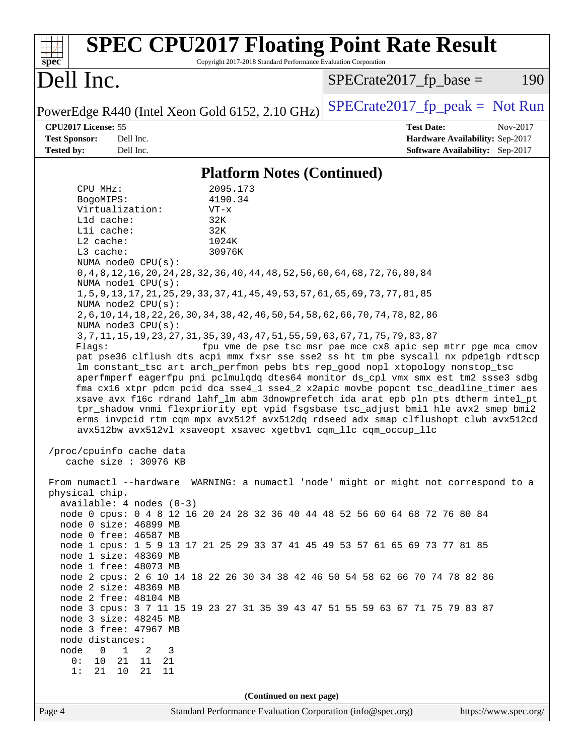| <b>SPEC CPU2017 Floating Point Rate Result</b><br>Copyright 2017-2018 Standard Performance Evaluation Corporation<br>Spec                                                                                                                                                                                                                                                                                                                                                                                                                                                                                                                                                                                                                                                                                                                                                                                                                                                                                                                                                                                                                                                                                                                                                                                                                                                                                                                                                                                                                                                                                                                                                                                                                                                                                                                                                                                                                                                                                                                                                                                                                                                                                 |                                                                                                     |
|-----------------------------------------------------------------------------------------------------------------------------------------------------------------------------------------------------------------------------------------------------------------------------------------------------------------------------------------------------------------------------------------------------------------------------------------------------------------------------------------------------------------------------------------------------------------------------------------------------------------------------------------------------------------------------------------------------------------------------------------------------------------------------------------------------------------------------------------------------------------------------------------------------------------------------------------------------------------------------------------------------------------------------------------------------------------------------------------------------------------------------------------------------------------------------------------------------------------------------------------------------------------------------------------------------------------------------------------------------------------------------------------------------------------------------------------------------------------------------------------------------------------------------------------------------------------------------------------------------------------------------------------------------------------------------------------------------------------------------------------------------------------------------------------------------------------------------------------------------------------------------------------------------------------------------------------------------------------------------------------------------------------------------------------------------------------------------------------------------------------------------------------------------------------------------------------------------------|-----------------------------------------------------------------------------------------------------|
| Dell Inc.                                                                                                                                                                                                                                                                                                                                                                                                                                                                                                                                                                                                                                                                                                                                                                                                                                                                                                                                                                                                                                                                                                                                                                                                                                                                                                                                                                                                                                                                                                                                                                                                                                                                                                                                                                                                                                                                                                                                                                                                                                                                                                                                                                                                 | $SPECrate2017fr base =$<br>190                                                                      |
| PowerEdge R440 (Intel Xeon Gold 6152, 2.10 GHz)                                                                                                                                                                                                                                                                                                                                                                                                                                                                                                                                                                                                                                                                                                                                                                                                                                                                                                                                                                                                                                                                                                                                                                                                                                                                                                                                                                                                                                                                                                                                                                                                                                                                                                                                                                                                                                                                                                                                                                                                                                                                                                                                                           | $SPECrate2017fr peak = Not Run$                                                                     |
| CPU2017 License: 55<br><b>Test Sponsor:</b><br>Dell Inc.<br>Dell Inc.<br><b>Tested by:</b>                                                                                                                                                                                                                                                                                                                                                                                                                                                                                                                                                                                                                                                                                                                                                                                                                                                                                                                                                                                                                                                                                                                                                                                                                                                                                                                                                                                                                                                                                                                                                                                                                                                                                                                                                                                                                                                                                                                                                                                                                                                                                                                | <b>Test Date:</b><br>Nov-2017<br>Hardware Availability: Sep-2017<br>Software Availability: Sep-2017 |
| <b>Platform Notes (Continued)</b>                                                                                                                                                                                                                                                                                                                                                                                                                                                                                                                                                                                                                                                                                                                                                                                                                                                                                                                                                                                                                                                                                                                                                                                                                                                                                                                                                                                                                                                                                                                                                                                                                                                                                                                                                                                                                                                                                                                                                                                                                                                                                                                                                                         |                                                                                                     |
| CPU MHz:<br>2095.173<br>4190.34<br>BogoMIPS:<br>Virtualization:<br>$VT - x$<br>Lld cache:<br>32K<br>Lli cache:<br>32K<br>$L2$ cache:<br>1024K<br>L3 cache:<br>30976K<br>NUMA node0 CPU(s):<br>0, 4, 8, 12, 16, 20, 24, 28, 32, 36, 40, 44, 48, 52, 56, 60, 64, 68, 72, 76, 80, 84<br>NUMA nodel CPU(s):<br>1, 5, 9, 13, 17, 21, 25, 29, 33, 37, 41, 45, 49, 53, 57, 61, 65, 69, 73, 77, 81, 85<br>NUMA $node2$ $CPU(s)$ :<br>2, 6, 10, 14, 18, 22, 26, 30, 34, 38, 42, 46, 50, 54, 58, 62, 66, 70, 74, 78, 82, 86<br>NUMA $node3$ $CPU(s)$ :<br>3, 7, 11, 15, 19, 23, 27, 31, 35, 39, 43, 47, 51, 55, 59, 63, 67, 71, 75, 79, 83, 87<br>Flaqs:<br>pat pse36 clflush dts acpi mmx fxsr sse sse2 ss ht tm pbe syscall nx pdpelgb rdtscp<br>lm constant_tsc art arch_perfmon pebs bts rep_good nopl xtopology nonstop_tsc<br>aperfmperf eagerfpu pni pclmulqdq dtes64 monitor ds_cpl vmx smx est tm2 ssse3 sdbg<br>fma cx16 xtpr pdcm pcid dca sse4_1 sse4_2 x2apic movbe popcnt tsc_deadline_timer aes<br>xsave avx f16c rdrand lahf_lm abm 3dnowprefetch ida arat epb pln pts dtherm intel_pt<br>tpr_shadow vnmi flexpriority ept vpid fsgsbase tsc_adjust bmil hle avx2 smep bmi2<br>erms invpcid rtm cqm mpx avx512f avx512dq rdseed adx smap clflushopt clwb avx512cd<br>avx512bw avx512vl xsaveopt xsavec xgetbvl cqm_llc cqm_occup_llc<br>/proc/cpuinfo cache data<br>cache size : $30976$ KB<br>From numactl --hardware WARNING: a numactl 'node' might or might not correspond to a<br>physical chip.<br>$available: 4 nodes (0-3)$<br>node 0 cpus: 0 4 8 12 16 20 24 28 32 36 40 44 48 52 56 60 64 68 72 76 80 84<br>node 0 size: 46899 MB<br>node 0 free: 46587 MB<br>node 1 cpus: 1 5 9 13 17 21 25 29 33 37 41 45 49 53 57 61 65 69 73 77 81 85<br>node 1 size: 48369 MB<br>node 1 free: 48073 MB<br>node 2 cpus: 2 6 10 14 18 22 26 30 34 38 42 46 50 54 58 62 66 70 74 78 82 86<br>node 2 size: 48369 MB<br>node 2 free: 48104 MB<br>node 3 cpus: 3 7 11 15 19 23 27 31 35 39 43 47 51 55 59 63 67 71 75 79 83 87<br>node 3 size: 48245 MB<br>node 3 free: 47967 MB<br>node distances:<br>node<br>$\Omega$<br>$\mathbf{1}$<br>2<br>3<br>0:<br>10<br>21<br>11<br>21<br>1:<br>21 10<br>21<br>11 | fpu vme de pse tsc msr pae mce cx8 apic sep mtrr pge mca cmov                                       |
| (Continued on next page)<br>Standard Performance Evaluation Corporation (info@spec.org)<br>Page 4                                                                                                                                                                                                                                                                                                                                                                                                                                                                                                                                                                                                                                                                                                                                                                                                                                                                                                                                                                                                                                                                                                                                                                                                                                                                                                                                                                                                                                                                                                                                                                                                                                                                                                                                                                                                                                                                                                                                                                                                                                                                                                         | https://www.spec.org/                                                                               |
|                                                                                                                                                                                                                                                                                                                                                                                                                                                                                                                                                                                                                                                                                                                                                                                                                                                                                                                                                                                                                                                                                                                                                                                                                                                                                                                                                                                                                                                                                                                                                                                                                                                                                                                                                                                                                                                                                                                                                                                                                                                                                                                                                                                                           |                                                                                                     |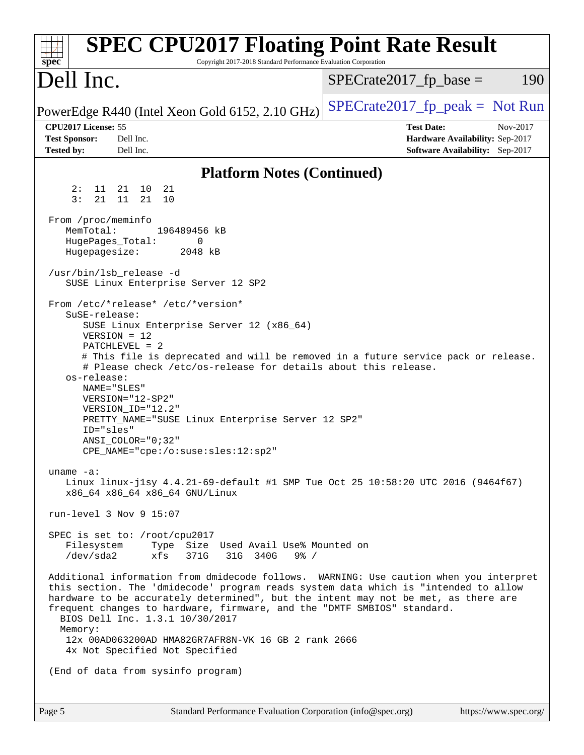| <b>SPEC CPU2017 Floating Point Rate Result</b><br>Copyright 2017-2018 Standard Performance Evaluation Corporation<br>spec <sup>®</sup>                                                                                                                                                                                                                                                                                                                                                                                                                                                                    |                                                                                                            |
|-----------------------------------------------------------------------------------------------------------------------------------------------------------------------------------------------------------------------------------------------------------------------------------------------------------------------------------------------------------------------------------------------------------------------------------------------------------------------------------------------------------------------------------------------------------------------------------------------------------|------------------------------------------------------------------------------------------------------------|
| Dell Inc.                                                                                                                                                                                                                                                                                                                                                                                                                                                                                                                                                                                                 | $SPECrate2017_fp\_base =$<br>190                                                                           |
| PowerEdge R440 (Intel Xeon Gold 6152, 2.10 GHz)                                                                                                                                                                                                                                                                                                                                                                                                                                                                                                                                                           | $SPECTate2017_fp\_peak = Not Run$                                                                          |
| CPU2017 License: 55<br><b>Test Sponsor:</b><br>Dell Inc.<br><b>Tested by:</b><br>Dell Inc.                                                                                                                                                                                                                                                                                                                                                                                                                                                                                                                | <b>Test Date:</b><br>Nov-2017<br>Hardware Availability: Sep-2017<br><b>Software Availability:</b> Sep-2017 |
| <b>Platform Notes (Continued)</b>                                                                                                                                                                                                                                                                                                                                                                                                                                                                                                                                                                         |                                                                                                            |
| 2:<br>11 21 10<br>21<br>3:<br>21<br>11<br>21<br>10                                                                                                                                                                                                                                                                                                                                                                                                                                                                                                                                                        |                                                                                                            |
| From /proc/meminfo<br>MemTotal:<br>196489456 kB<br>HugePages_Total:<br>0<br>Hugepagesize:<br>2048 kB                                                                                                                                                                                                                                                                                                                                                                                                                                                                                                      |                                                                                                            |
| /usr/bin/lsb_release -d<br>SUSE Linux Enterprise Server 12 SP2                                                                                                                                                                                                                                                                                                                                                                                                                                                                                                                                            |                                                                                                            |
| From /etc/*release* /etc/*version*<br>SuSE-release:<br>SUSE Linux Enterprise Server 12 (x86_64)<br>$VERSION = 12$<br>$PATCHLEVEL = 2$<br># This file is deprecated and will be removed in a future service pack or release.<br># Please check /etc/os-release for details about this release.<br>os-release:<br>NAME="SLES"<br>$VERSION = "12-SP2"$<br>VERSION ID="12.2"<br>PRETTY_NAME="SUSE Linux Enterprise Server 12 SP2"<br>ID="sles"<br>ANSI_COLOR="0;32"<br>CPE_NAME="cpe:/o:suse:sles:12:sp2"<br>uname $-a$ :<br>Linux linux-j1sy 4.4.21-69-default #1 SMP Tue Oct 25 10:58:20 UTC 2016 (9464f67) |                                                                                                            |
| x86 64 x86 64 x86 64 GNU/Linux                                                                                                                                                                                                                                                                                                                                                                                                                                                                                                                                                                            |                                                                                                            |
| run-level $3$ Nov $9$ 15:07<br>SPEC is set to: /root/cpu2017<br>Filesystem<br>Type Size Used Avail Use% Mounted on<br>/dev/sda2<br>xfs<br>371G<br>31G 340G<br>$9\frac{6}{5}$ /                                                                                                                                                                                                                                                                                                                                                                                                                            |                                                                                                            |
| Additional information from dmidecode follows. WARNING: Use caution when you interpret<br>this section. The 'dmidecode' program reads system data which is "intended to allow<br>hardware to be accurately determined", but the intent may not be met, as there are<br>frequent changes to hardware, firmware, and the "DMTF SMBIOS" standard.<br>BIOS Dell Inc. 1.3.1 10/30/2017<br>Memory:<br>12x 00AD063200AD HMA82GR7AFR8N-VK 16 GB 2 rank 2666<br>4x Not Specified Not Specified                                                                                                                     |                                                                                                            |
| (End of data from sysinfo program)                                                                                                                                                                                                                                                                                                                                                                                                                                                                                                                                                                        |                                                                                                            |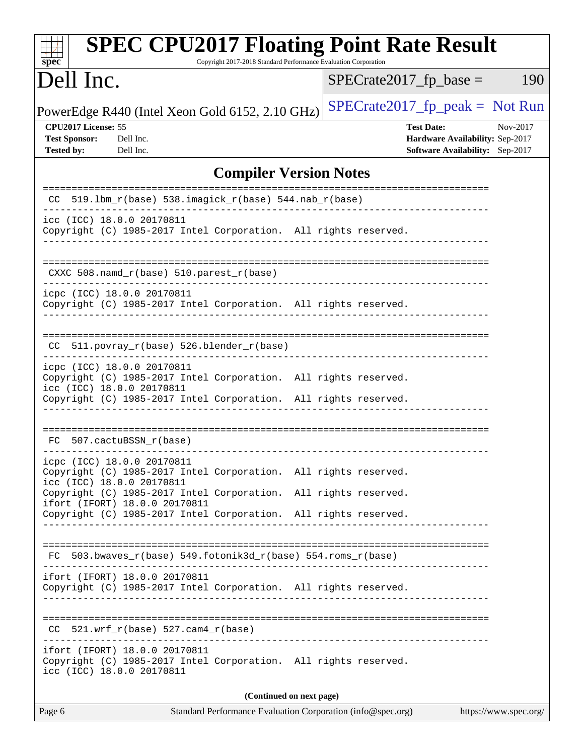| <b>SPEC CPU2017 Floating Point Rate Result</b><br>Copyright 2017-2018 Standard Performance Evaluation Corporation<br>spec <sup>®</sup>                                                        |                                                                                                            |  |  |  |  |
|-----------------------------------------------------------------------------------------------------------------------------------------------------------------------------------------------|------------------------------------------------------------------------------------------------------------|--|--|--|--|
| Dell Inc.                                                                                                                                                                                     | $SPECrate2017fr base =$<br>190                                                                             |  |  |  |  |
| PowerEdge R440 (Intel Xeon Gold 6152, 2.10 GHz)                                                                                                                                               | $SPECrate2017fr peak = Not Run$                                                                            |  |  |  |  |
| CPU2017 License: 55<br><b>Test Sponsor:</b><br>Dell Inc.<br><b>Tested by:</b><br>Dell Inc.                                                                                                    | <b>Test Date:</b><br>Nov-2017<br>Hardware Availability: Sep-2017<br><b>Software Availability:</b> Sep-2017 |  |  |  |  |
| <b>Compiler Version Notes</b>                                                                                                                                                                 |                                                                                                            |  |  |  |  |
| 519.1bm_r(base) 538.imagick_r(base) 544.nab_r(base)<br>CC.                                                                                                                                    | ======================                                                                                     |  |  |  |  |
| __________________________________<br>icc (ICC) 18.0.0 20170811<br>Copyright (C) 1985-2017 Intel Corporation. All rights reserved.                                                            |                                                                                                            |  |  |  |  |
| $CXXC 508.namd_r(base) 510.parest_r(base)$                                                                                                                                                    |                                                                                                            |  |  |  |  |
| icpc (ICC) 18.0.0 20170811<br>Copyright (C) 1985-2017 Intel Corporation. All rights reserved.                                                                                                 |                                                                                                            |  |  |  |  |
| 511.povray_r(base) 526.blender_r(base)<br>CC.                                                                                                                                                 |                                                                                                            |  |  |  |  |
| icpc (ICC) 18.0.0 20170811<br>Copyright (C) 1985-2017 Intel Corporation. All rights reserved.<br>icc (ICC) 18.0.0 20170811<br>Copyright (C) 1985-2017 Intel Corporation. All rights reserved. |                                                                                                            |  |  |  |  |
| FC 507.cactuBSSN_r(base)                                                                                                                                                                      |                                                                                                            |  |  |  |  |
| icpc (ICC) 18.0.0 20170811<br>Copyright (C) 1985-2017 Intel Corporation. All rights reserved.<br>icc (ICC) 18.0.0 20170811                                                                    |                                                                                                            |  |  |  |  |
| Copyright (C) 1985-2017 Intel Corporation.<br>ifort (IFORT) 18.0.0 20170811<br>Copyright (C) 1985-2017 Intel Corporation. All rights reserved.                                                | All rights reserved.                                                                                       |  |  |  |  |
|                                                                                                                                                                                               |                                                                                                            |  |  |  |  |
| $FC$ 503.bwaves_r(base) 549.fotonik3d_r(base) 554.roms_r(base)                                                                                                                                |                                                                                                            |  |  |  |  |
| ifort (IFORT) 18.0.0 20170811<br>Copyright (C) 1985-2017 Intel Corporation. All rights reserved.                                                                                              |                                                                                                            |  |  |  |  |
| $CC$ 521.wrf_r(base) 527.cam4_r(base)                                                                                                                                                         |                                                                                                            |  |  |  |  |
| ifort (IFORT) 18.0.0 20170811<br>Copyright (C) 1985-2017 Intel Corporation. All rights reserved.<br>icc (ICC) 18.0.0 20170811                                                                 |                                                                                                            |  |  |  |  |
| (Continued on next page)                                                                                                                                                                      |                                                                                                            |  |  |  |  |
| Page 6<br>Standard Performance Evaluation Corporation (info@spec.org)<br>https://www.spec.org/                                                                                                |                                                                                                            |  |  |  |  |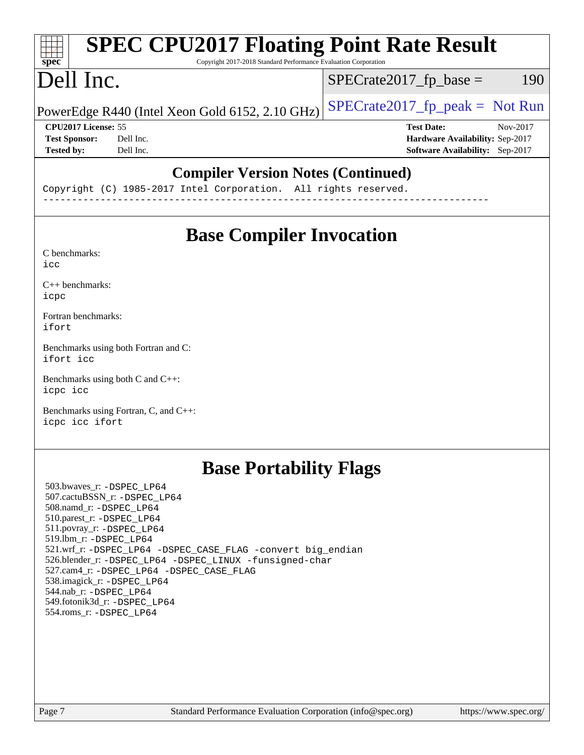#### **[SPEC CPU2017 Floating Point Rate Result](http://www.spec.org/auto/cpu2017/Docs/result-fields.html#SPECCPU2017FloatingPointRateResult)** H F **[spec](http://www.spec.org/)** Copyright 2017-2018 Standard Performance Evaluation Corporation Dell Inc.  $SPECTate2017<sub>fr</sub> base = 190$ PowerEdge R440 (Intel Xeon Gold 6152, 2.10 GHz)  $\left|$  [SPECrate2017\\_fp\\_peak =](http://www.spec.org/auto/cpu2017/Docs/result-fields.html#SPECrate2017fppeak) Not Run **[CPU2017 License:](http://www.spec.org/auto/cpu2017/Docs/result-fields.html#CPU2017License)** 55 **[Test Date:](http://www.spec.org/auto/cpu2017/Docs/result-fields.html#TestDate)** Nov-2017 **[Test Sponsor:](http://www.spec.org/auto/cpu2017/Docs/result-fields.html#TestSponsor)** Dell Inc. **[Hardware Availability:](http://www.spec.org/auto/cpu2017/Docs/result-fields.html#HardwareAvailability)** Sep-2017 **[Tested by:](http://www.spec.org/auto/cpu2017/Docs/result-fields.html#Testedby)** Dell Inc. **[Software Availability:](http://www.spec.org/auto/cpu2017/Docs/result-fields.html#SoftwareAvailability)** Sep-2017 **[Compiler Version Notes \(Continued\)](http://www.spec.org/auto/cpu2017/Docs/result-fields.html#CompilerVersionNotes)**

Copyright (C) 1985-2017 Intel Corporation. All rights reserved.

------------------------------------------------------------------------------

# **[Base Compiler Invocation](http://www.spec.org/auto/cpu2017/Docs/result-fields.html#BaseCompilerInvocation)**

[C benchmarks](http://www.spec.org/auto/cpu2017/Docs/result-fields.html#Cbenchmarks): [icc](http://www.spec.org/cpu2017/results/res2017q4/cpu2017-20171127-00947.flags.html#user_CCbase_intel_icc_18.0_66fc1ee009f7361af1fbd72ca7dcefbb700085f36577c54f309893dd4ec40d12360134090235512931783d35fd58c0460139e722d5067c5574d8eaf2b3e37e92)

[C++ benchmarks:](http://www.spec.org/auto/cpu2017/Docs/result-fields.html#CXXbenchmarks) [icpc](http://www.spec.org/cpu2017/results/res2017q4/cpu2017-20171127-00947.flags.html#user_CXXbase_intel_icpc_18.0_c510b6838c7f56d33e37e94d029a35b4a7bccf4766a728ee175e80a419847e808290a9b78be685c44ab727ea267ec2f070ec5dc83b407c0218cded6866a35d07)

[Fortran benchmarks](http://www.spec.org/auto/cpu2017/Docs/result-fields.html#Fortranbenchmarks): [ifort](http://www.spec.org/cpu2017/results/res2017q4/cpu2017-20171127-00947.flags.html#user_FCbase_intel_ifort_18.0_8111460550e3ca792625aed983ce982f94888b8b503583aa7ba2b8303487b4d8a21a13e7191a45c5fd58ff318f48f9492884d4413fa793fd88dd292cad7027ca)

[Benchmarks using both Fortran and C](http://www.spec.org/auto/cpu2017/Docs/result-fields.html#BenchmarksusingbothFortranandC): [ifort](http://www.spec.org/cpu2017/results/res2017q4/cpu2017-20171127-00947.flags.html#user_CC_FCbase_intel_ifort_18.0_8111460550e3ca792625aed983ce982f94888b8b503583aa7ba2b8303487b4d8a21a13e7191a45c5fd58ff318f48f9492884d4413fa793fd88dd292cad7027ca) [icc](http://www.spec.org/cpu2017/results/res2017q4/cpu2017-20171127-00947.flags.html#user_CC_FCbase_intel_icc_18.0_66fc1ee009f7361af1fbd72ca7dcefbb700085f36577c54f309893dd4ec40d12360134090235512931783d35fd58c0460139e722d5067c5574d8eaf2b3e37e92)

[Benchmarks using both C and C++](http://www.spec.org/auto/cpu2017/Docs/result-fields.html#BenchmarksusingbothCandCXX): [icpc](http://www.spec.org/cpu2017/results/res2017q4/cpu2017-20171127-00947.flags.html#user_CC_CXXbase_intel_icpc_18.0_c510b6838c7f56d33e37e94d029a35b4a7bccf4766a728ee175e80a419847e808290a9b78be685c44ab727ea267ec2f070ec5dc83b407c0218cded6866a35d07) [icc](http://www.spec.org/cpu2017/results/res2017q4/cpu2017-20171127-00947.flags.html#user_CC_CXXbase_intel_icc_18.0_66fc1ee009f7361af1fbd72ca7dcefbb700085f36577c54f309893dd4ec40d12360134090235512931783d35fd58c0460139e722d5067c5574d8eaf2b3e37e92)

[Benchmarks using Fortran, C, and C++:](http://www.spec.org/auto/cpu2017/Docs/result-fields.html#BenchmarksusingFortranCandCXX) [icpc](http://www.spec.org/cpu2017/results/res2017q4/cpu2017-20171127-00947.flags.html#user_CC_CXX_FCbase_intel_icpc_18.0_c510b6838c7f56d33e37e94d029a35b4a7bccf4766a728ee175e80a419847e808290a9b78be685c44ab727ea267ec2f070ec5dc83b407c0218cded6866a35d07) [icc](http://www.spec.org/cpu2017/results/res2017q4/cpu2017-20171127-00947.flags.html#user_CC_CXX_FCbase_intel_icc_18.0_66fc1ee009f7361af1fbd72ca7dcefbb700085f36577c54f309893dd4ec40d12360134090235512931783d35fd58c0460139e722d5067c5574d8eaf2b3e37e92) [ifort](http://www.spec.org/cpu2017/results/res2017q4/cpu2017-20171127-00947.flags.html#user_CC_CXX_FCbase_intel_ifort_18.0_8111460550e3ca792625aed983ce982f94888b8b503583aa7ba2b8303487b4d8a21a13e7191a45c5fd58ff318f48f9492884d4413fa793fd88dd292cad7027ca)

## **[Base Portability Flags](http://www.spec.org/auto/cpu2017/Docs/result-fields.html#BasePortabilityFlags)**

 503.bwaves\_r: [-DSPEC\\_LP64](http://www.spec.org/cpu2017/results/res2017q4/cpu2017-20171127-00947.flags.html#suite_basePORTABILITY503_bwaves_r_DSPEC_LP64) 507.cactuBSSN\_r: [-DSPEC\\_LP64](http://www.spec.org/cpu2017/results/res2017q4/cpu2017-20171127-00947.flags.html#suite_basePORTABILITY507_cactuBSSN_r_DSPEC_LP64) 508.namd\_r: [-DSPEC\\_LP64](http://www.spec.org/cpu2017/results/res2017q4/cpu2017-20171127-00947.flags.html#suite_basePORTABILITY508_namd_r_DSPEC_LP64) 510.parest\_r: [-DSPEC\\_LP64](http://www.spec.org/cpu2017/results/res2017q4/cpu2017-20171127-00947.flags.html#suite_basePORTABILITY510_parest_r_DSPEC_LP64) 511.povray\_r: [-DSPEC\\_LP64](http://www.spec.org/cpu2017/results/res2017q4/cpu2017-20171127-00947.flags.html#suite_basePORTABILITY511_povray_r_DSPEC_LP64) 519.lbm\_r: [-DSPEC\\_LP64](http://www.spec.org/cpu2017/results/res2017q4/cpu2017-20171127-00947.flags.html#suite_basePORTABILITY519_lbm_r_DSPEC_LP64) 521.wrf\_r: [-DSPEC\\_LP64](http://www.spec.org/cpu2017/results/res2017q4/cpu2017-20171127-00947.flags.html#suite_basePORTABILITY521_wrf_r_DSPEC_LP64) [-DSPEC\\_CASE\\_FLAG](http://www.spec.org/cpu2017/results/res2017q4/cpu2017-20171127-00947.flags.html#b521.wrf_r_baseCPORTABILITY_DSPEC_CASE_FLAG) [-convert big\\_endian](http://www.spec.org/cpu2017/results/res2017q4/cpu2017-20171127-00947.flags.html#user_baseFPORTABILITY521_wrf_r_convert_big_endian_c3194028bc08c63ac5d04de18c48ce6d347e4e562e8892b8bdbdc0214820426deb8554edfa529a3fb25a586e65a3d812c835984020483e7e73212c4d31a38223) 526.blender\_r: [-DSPEC\\_LP64](http://www.spec.org/cpu2017/results/res2017q4/cpu2017-20171127-00947.flags.html#suite_basePORTABILITY526_blender_r_DSPEC_LP64) [-DSPEC\\_LINUX](http://www.spec.org/cpu2017/results/res2017q4/cpu2017-20171127-00947.flags.html#b526.blender_r_baseCPORTABILITY_DSPEC_LINUX) [-funsigned-char](http://www.spec.org/cpu2017/results/res2017q4/cpu2017-20171127-00947.flags.html#user_baseCPORTABILITY526_blender_r_force_uchar_40c60f00ab013830e2dd6774aeded3ff59883ba5a1fc5fc14077f794d777847726e2a5858cbc7672e36e1b067e7e5c1d9a74f7176df07886a243d7cc18edfe67) 527.cam4\_r: [-DSPEC\\_LP64](http://www.spec.org/cpu2017/results/res2017q4/cpu2017-20171127-00947.flags.html#suite_basePORTABILITY527_cam4_r_DSPEC_LP64) [-DSPEC\\_CASE\\_FLAG](http://www.spec.org/cpu2017/results/res2017q4/cpu2017-20171127-00947.flags.html#b527.cam4_r_baseCPORTABILITY_DSPEC_CASE_FLAG) 538.imagick\_r: [-DSPEC\\_LP64](http://www.spec.org/cpu2017/results/res2017q4/cpu2017-20171127-00947.flags.html#suite_basePORTABILITY538_imagick_r_DSPEC_LP64) 544.nab\_r: [-DSPEC\\_LP64](http://www.spec.org/cpu2017/results/res2017q4/cpu2017-20171127-00947.flags.html#suite_basePORTABILITY544_nab_r_DSPEC_LP64) 549.fotonik3d\_r: [-DSPEC\\_LP64](http://www.spec.org/cpu2017/results/res2017q4/cpu2017-20171127-00947.flags.html#suite_basePORTABILITY549_fotonik3d_r_DSPEC_LP64) 554.roms\_r: [-DSPEC\\_LP64](http://www.spec.org/cpu2017/results/res2017q4/cpu2017-20171127-00947.flags.html#suite_basePORTABILITY554_roms_r_DSPEC_LP64)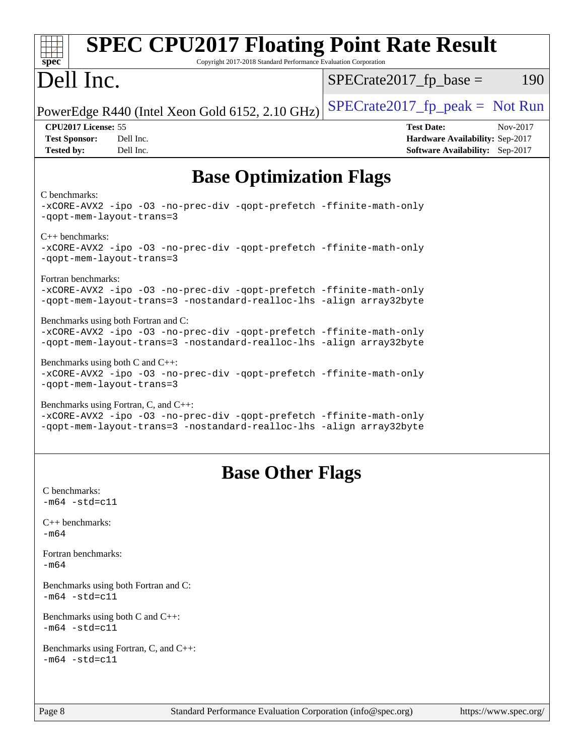| <b>SPEC CPU2017 Floating Point Rate Result</b><br>Copyright 2017-2018 Standard Performance Evaluation Corporation<br>spec <sup>®</sup>                                              |                                                                                                            |
|-------------------------------------------------------------------------------------------------------------------------------------------------------------------------------------|------------------------------------------------------------------------------------------------------------|
| Dell Inc.                                                                                                                                                                           | $SPECrate2017fp base =$<br>190                                                                             |
| PowerEdge R440 (Intel Xeon Gold 6152, 2.10 GHz)                                                                                                                                     | $SPECrate2017_fp\_peak = Not Run$                                                                          |
| CPU2017 License: 55<br><b>Test Sponsor:</b><br>Dell Inc.<br>Dell Inc.<br><b>Tested by:</b>                                                                                          | <b>Test Date:</b><br>Nov-2017<br>Hardware Availability: Sep-2017<br><b>Software Availability:</b> Sep-2017 |
| <b>Base Optimization Flags</b>                                                                                                                                                      |                                                                                                            |
| C benchmarks:<br>-xCORE-AVX2 -ipo -03 -no-prec-div -qopt-prefetch -ffinite-math-only<br>-qopt-mem-layout-trans=3                                                                    |                                                                                                            |
| $C_{++}$ benchmarks:<br>-xCORE-AVX2 -ipo -03 -no-prec-div -qopt-prefetch -ffinite-math-only<br>-qopt-mem-layout-trans=3                                                             |                                                                                                            |
| Fortran benchmarks:<br>-xCORE-AVX2 -ipo -03 -no-prec-div -qopt-prefetch -ffinite-math-only<br>-qopt-mem-layout-trans=3 -nostandard-realloc-lhs -align array32byte                   |                                                                                                            |
| Benchmarks using both Fortran and C:<br>-xCORE-AVX2 -ipo -03 -no-prec-div -qopt-prefetch -ffinite-math-only<br>-qopt-mem-layout-trans=3 -nostandard-realloc-lhs -align array32byte  |                                                                                                            |
| Benchmarks using both $C$ and $C_{++}$ :<br>-xCORE-AVX2 -ipo -03 -no-prec-div -qopt-prefetch -ffinite-math-only<br>-qopt-mem-layout-trans=3                                         |                                                                                                            |
| Benchmarks using Fortran, C, and C++:<br>-xCORE-AVX2 -ipo -03 -no-prec-div -qopt-prefetch -ffinite-math-only<br>-qopt-mem-layout-trans=3 -nostandard-realloc-lhs -align array32byte |                                                                                                            |
| <b>Base Other Flags</b>                                                                                                                                                             |                                                                                                            |
| C benchmarks:<br>$-m64 - std= c11$                                                                                                                                                  |                                                                                                            |
| $C++$ benchmarks:<br>$-m64$                                                                                                                                                         |                                                                                                            |
| Fortran benchmarks:<br>$-m64$                                                                                                                                                       |                                                                                                            |
| Benchmarks using both Fortran and C:<br>$-m64 - std= c11$                                                                                                                           |                                                                                                            |
| Benchmarks using both $C$ and $C_{++}$ :<br>$-m64 - std= c11$                                                                                                                       |                                                                                                            |
| Benchmarks using Fortran, C, and C++:<br>$-m64 - std = c11$                                                                                                                         |                                                                                                            |
| Standard Performance Evaluation Corporation (info@spec.org)<br>Page 8                                                                                                               | https://www.spec.org/                                                                                      |